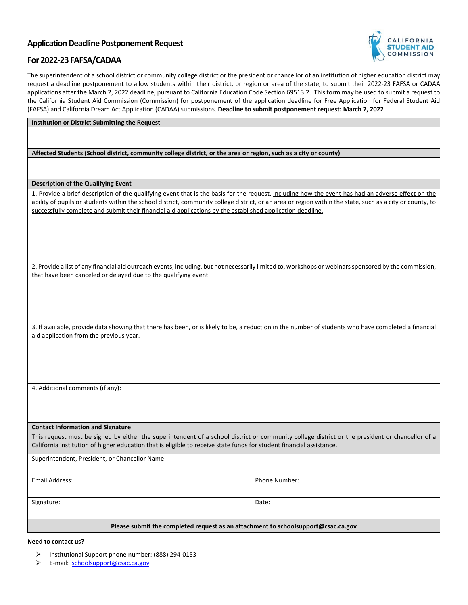# **Application Deadline Postponement Request**



# **For 2022-23 FAFSA/CADAA**

 applications after the March 2, 2022 deadline, pursuant to California Education Code Section 69513.2. This form may be used to submit a request to The superintendent of a school district or community college district or the president or chancellor of an institution of higher education district may request a deadline postponement to allow students within their district, or region or area of the state, to submit their 2022-23 FAFSA or CADAA the California Student Aid Commission (Commission) for postponement of the application deadline for Free Application for Federal Student Aid (FAFSA) and California Dream Act Application (CADAA) submissions. **Deadline to submit postponement request: March 7, 2022** 

### **Institution or District Submitting the Request**

 **Affected Students (School district, community college district, or the area or region, such as a city or county)** 

### **Description of the Qualifying Event**

1. Provide a brief description of the qualifying event that is the basis for the request, including how the event has had an adverse effect on the ability of pupils or students within the school district, community college district, or an area or region within the state, such as a city or county, to successfully complete and submit their financial aid applications by the established application deadline.

 2. Provide a list of any financial aid outreach events, including, but not necessarily limited to, workshops or webinars sponsored by the commission, that have been canceled or delayed due to the qualifying event.

3. If available, provide data showing that there has been, or is likely to be, a reduction in the number of students who have completed a financial aid application from the previous year.

4. Additional comments (if any):

#### **Contact Information and Signature**

 This request must be signed by either the superintendent of a school district or community college district or the president or chancellor of a California institution of higher education that is eligible to receive state funds for student financial assistance.

Superintendent, President, or Chancellor Name:

Email Address: Phone Number:

Signature: Date: Date: Date: Date: Date: Date: Date: Date: Date: Date: Date: Date: Date: Date: Date: Date: Date: Date: Date: Date: Date: Date: Date: Date: Date: Date: Date: Date: Date: Date: Date: Date: Date: Date: Date: D

**Please submit the completed request as an attachment to schoolsupport@csac.ca.gov** 

#### **Need to contact us?**

- Institutional Support phone number: (888) 294-0153
- E-mail: schoolsupport@csac.ca.gov